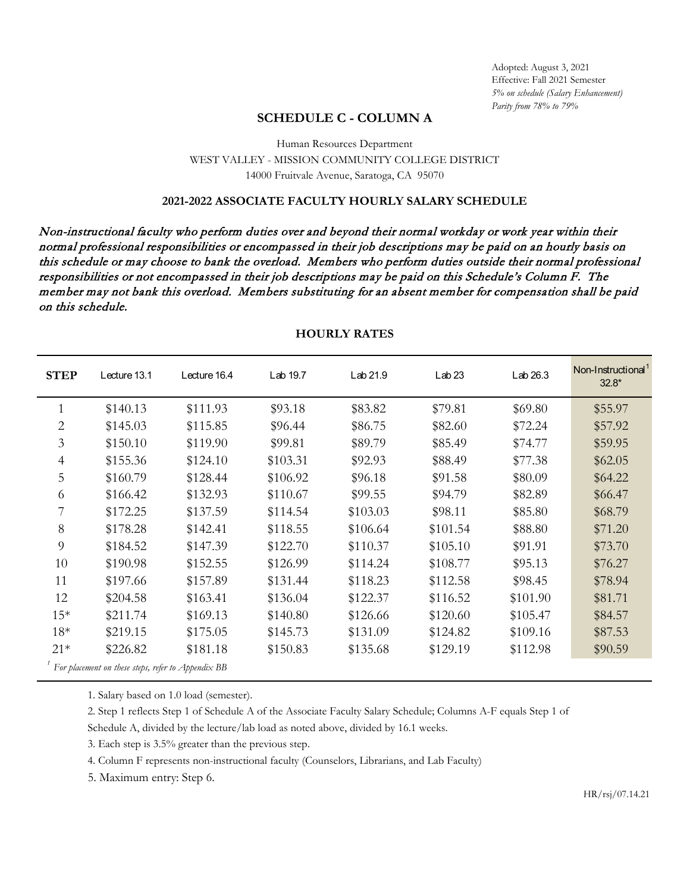# **SCHEDULE C - COLUMN A**

## Human Resources Department WEST VALLEY - MISSION COMMUNITY COLLEGE DISTRICT 14000 Fruitvale Avenue, Saratoga, CA 95070

### **2021-2022 ASSOCIATE FACULTY HOURLY SALARY SCHEDULE**

Non-instructional faculty who perform duties over and beyond their normal workday or work year within their normal professional responsibilities or encompassed in their job descriptions may be paid on an hourly basis on this schedule or may choose to bank the overload. Members who perform duties outside their normal professional responsibilities or not encompassed in their job descriptions may be paid on this Schedule's Column F. The member may not bank this overload. Members substituting for an absent member for compensation shall be paid on this schedule.

| <b>STEP</b>                                        | Lecture 13.1 | Lecture 16.4 | Lab 19.7 | Lab 21.9 | Lab <sub>23</sub> | Lab <sub>26.3</sub> | Non-Instructional <sup>1</sup><br>$32.8*$ |
|----------------------------------------------------|--------------|--------------|----------|----------|-------------------|---------------------|-------------------------------------------|
| 1                                                  | \$140.13     | \$111.93     | \$93.18  | \$83.82  | \$79.81           | \$69.80             | \$55.97                                   |
| 2                                                  | \$145.03     | \$115.85     | \$96.44  | \$86.75  | \$82.60           | \$72.24             | \$57.92                                   |
| 3                                                  | \$150.10     | \$119.90     | \$99.81  | \$89.79  | \$85.49           | \$74.77             | \$59.95                                   |
| $\overline{4}$                                     | \$155.36     | \$124.10     | \$103.31 | \$92.93  | \$88.49           | \$77.38             | \$62.05                                   |
| 5                                                  | \$160.79     | \$128.44     | \$106.92 | \$96.18  | \$91.58           | \$80.09             | \$64.22                                   |
| 6                                                  | \$166.42     | \$132.93     | \$110.67 | \$99.55  | \$94.79           | \$82.89             | \$66.47                                   |
| 7                                                  | \$172.25     | \$137.59     | \$114.54 | \$103.03 | \$98.11           | \$85.80             | \$68.79                                   |
| 8                                                  | \$178.28     | \$142.41     | \$118.55 | \$106.64 | \$101.54          | \$88.80             | \$71.20                                   |
| 9                                                  | \$184.52     | \$147.39     | \$122.70 | \$110.37 | \$105.10          | \$91.91             | \$73.70                                   |
| 10                                                 | \$190.98     | \$152.55     | \$126.99 | \$114.24 | \$108.77          | \$95.13             | \$76.27                                   |
| 11                                                 | \$197.66     | \$157.89     | \$131.44 | \$118.23 | \$112.58          | \$98.45             | \$78.94                                   |
| 12                                                 | \$204.58     | \$163.41     | \$136.04 | \$122.37 | \$116.52          | \$101.90            | \$81.71                                   |
| $15*$                                              | \$211.74     | \$169.13     | \$140.80 | \$126.66 | \$120.60          | \$105.47            | \$84.57                                   |
| $18*$                                              | \$219.15     | \$175.05     | \$145.73 | \$131.09 | \$124.82          | \$109.16            | \$87.53                                   |
| $21*$                                              | \$226.82     | \$181.18     | \$150.83 | \$135.68 | \$129.19          | \$112.98            | \$90.59                                   |
| For placement on these steps, refer to Appendix BB |              |              |          |          |                   |                     |                                           |

#### **HOURLY RATES**

1. Salary based on 1.0 load (semester).

2. Step 1 reflects Step 1 of Schedule A of the Associate Faculty Salary Schedule; Columns A-F equals Step 1 of

Schedule A, divided by the lecture/lab load as noted above, divided by 16.1 weeks.

3. Each step is 3.5% greater than the previous step.

4. Column F represents non-instructional faculty (Counselors, Librarians, and Lab Faculty)

5. Maximum entry: Step 6.

HR/rsj/07.14.21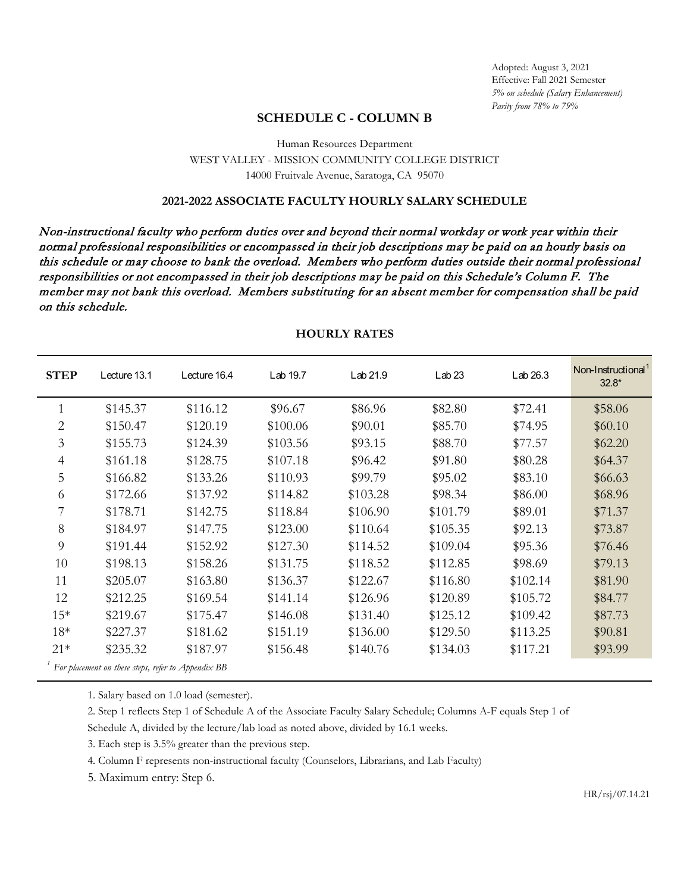# **SCHEDULE C - COLUMN B**

## Human Resources Department WEST VALLEY - MISSION COMMUNITY COLLEGE DISTRICT 14000 Fruitvale Avenue, Saratoga, CA 95070

### **2021-2022 ASSOCIATE FACULTY HOURLY SALARY SCHEDULE**

Non-instructional faculty who perform duties over and beyond their normal workday or work year within their normal professional responsibilities or encompassed in their job descriptions may be paid on an hourly basis on this schedule or may choose to bank the overload. Members who perform duties outside their normal professional responsibilities or not encompassed in their job descriptions may be paid on this Schedule's Column F. The member may not bank this overload. Members substituting for an absent member for compensation shall be paid on this schedule.

| <b>STEP</b>                                        | Lecture 13.1 | Lecture 16.4 | Lab 19.7 | Lab 21.9 | Lab <sub>23</sub> | Lab 26.3 | Non-Instructional <sup>1</sup><br>$32.8*$ |  |  |
|----------------------------------------------------|--------------|--------------|----------|----------|-------------------|----------|-------------------------------------------|--|--|
|                                                    | \$145.37     | \$116.12     | \$96.67  | \$86.96  | \$82.80           | \$72.41  | \$58.06                                   |  |  |
| $\overline{2}$                                     | \$150.47     | \$120.19     | \$100.06 | \$90.01  | \$85.70           | \$74.95  | \$60.10                                   |  |  |
| 3                                                  | \$155.73     | \$124.39     | \$103.56 | \$93.15  | \$88.70           | \$77.57  | \$62.20                                   |  |  |
| $\overline{4}$                                     | \$161.18     | \$128.75     | \$107.18 | \$96.42  | \$91.80           | \$80.28  | \$64.37                                   |  |  |
| 5                                                  | \$166.82     | \$133.26     | \$110.93 | \$99.79  | \$95.02           | \$83.10  | \$66.63                                   |  |  |
| 6                                                  | \$172.66     | \$137.92     | \$114.82 | \$103.28 | \$98.34           | \$86.00  | \$68.96                                   |  |  |
| 7                                                  | \$178.71     | \$142.75     | \$118.84 | \$106.90 | \$101.79          | \$89.01  | \$71.37                                   |  |  |
| 8                                                  | \$184.97     | \$147.75     | \$123.00 | \$110.64 | \$105.35          | \$92.13  | \$73.87                                   |  |  |
| 9                                                  | \$191.44     | \$152.92     | \$127.30 | \$114.52 | \$109.04          | \$95.36  | \$76.46                                   |  |  |
| 10                                                 | \$198.13     | \$158.26     | \$131.75 | \$118.52 | \$112.85          | \$98.69  | \$79.13                                   |  |  |
| 11                                                 | \$205.07     | \$163.80     | \$136.37 | \$122.67 | \$116.80          | \$102.14 | \$81.90                                   |  |  |
| 12                                                 | \$212.25     | \$169.54     | \$141.14 | \$126.96 | \$120.89          | \$105.72 | \$84.77                                   |  |  |
| $15*$                                              | \$219.67     | \$175.47     | \$146.08 | \$131.40 | \$125.12          | \$109.42 | \$87.73                                   |  |  |
| $18*$                                              | \$227.37     | \$181.62     | \$151.19 | \$136.00 | \$129.50          | \$113.25 | \$90.81                                   |  |  |
| $21*$                                              | \$235.32     | \$187.97     | \$156.48 | \$140.76 | \$134.03          | \$117.21 | \$93.99                                   |  |  |
| For placement on these steps, refer to Appendix BB |              |              |          |          |                   |          |                                           |  |  |

### **HOURLY RATES**

1. Salary based on 1.0 load (semester).

2. Step 1 reflects Step 1 of Schedule A of the Associate Faculty Salary Schedule; Columns A-F equals Step 1 of

Schedule A, divided by the lecture/lab load as noted above, divided by 16.1 weeks.

3. Each step is 3.5% greater than the previous step.

4. Column F represents non-instructional faculty (Counselors, Librarians, and Lab Faculty)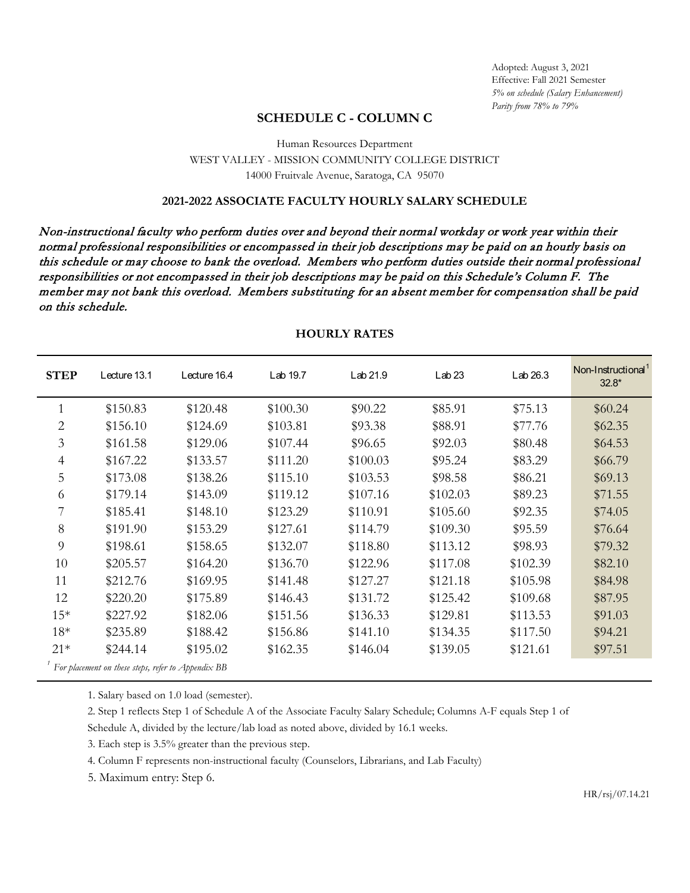# **SCHEDULE C - COLUMN C**

## Human Resources Department WEST VALLEY - MISSION COMMUNITY COLLEGE DISTRICT 14000 Fruitvale Avenue, Saratoga, CA 95070

### **2021-2022 ASSOCIATE FACULTY HOURLY SALARY SCHEDULE**

Non-instructional faculty who perform duties over and beyond their normal workday or work year within their normal professional responsibilities or encompassed in their job descriptions may be paid on an hourly basis on this schedule or may choose to bank the overload. Members who perform duties outside their normal professional responsibilities or not encompassed in their job descriptions may be paid on this Schedule's Column F. The member may not bank this overload. Members substituting for an absent member for compensation shall be paid on this schedule.

| <b>STEP</b>                                        | Lecture 13.1 | Lecture 16.4 | Lab 19.7 | Lab 21.9 | Lab <sub>23</sub> | Lab 26.3 | Non-Instructional <sup>1</sup><br>$32.8*$ |  |
|----------------------------------------------------|--------------|--------------|----------|----------|-------------------|----------|-------------------------------------------|--|
|                                                    | \$150.83     | \$120.48     | \$100.30 | \$90.22  | \$85.91           | \$75.13  | \$60.24                                   |  |
| $\overline{2}$                                     | \$156.10     | \$124.69     | \$103.81 | \$93.38  | \$88.91           | \$77.76  | \$62.35                                   |  |
| $\mathfrak{Z}$                                     | \$161.58     | \$129.06     | \$107.44 | \$96.65  | \$92.03           | \$80.48  | \$64.53                                   |  |
| $\overline{4}$                                     | \$167.22     | \$133.57     | \$111.20 | \$100.03 | \$95.24           | \$83.29  | \$66.79                                   |  |
| 5                                                  | \$173.08     | \$138.26     | \$115.10 | \$103.53 | \$98.58           | \$86.21  | \$69.13                                   |  |
| 6                                                  | \$179.14     | \$143.09     | \$119.12 | \$107.16 | \$102.03          | \$89.23  | \$71.55                                   |  |
| 7                                                  | \$185.41     | \$148.10     | \$123.29 | \$110.91 | \$105.60          | \$92.35  | \$74.05                                   |  |
| 8                                                  | \$191.90     | \$153.29     | \$127.61 | \$114.79 | \$109.30          | \$95.59  | \$76.64                                   |  |
| 9                                                  | \$198.61     | \$158.65     | \$132.07 | \$118.80 | \$113.12          | \$98.93  | \$79.32                                   |  |
| 10                                                 | \$205.57     | \$164.20     | \$136.70 | \$122.96 | \$117.08          | \$102.39 | \$82.10                                   |  |
| 11                                                 | \$212.76     | \$169.95     | \$141.48 | \$127.27 | \$121.18          | \$105.98 | \$84.98                                   |  |
| 12                                                 | \$220.20     | \$175.89     | \$146.43 | \$131.72 | \$125.42          | \$109.68 | \$87.95                                   |  |
| $15*$                                              | \$227.92     | \$182.06     | \$151.56 | \$136.33 | \$129.81          | \$113.53 | \$91.03                                   |  |
| $18*$                                              | \$235.89     | \$188.42     | \$156.86 | \$141.10 | \$134.35          | \$117.50 | \$94.21                                   |  |
| $21*$                                              | \$244.14     | \$195.02     | \$162.35 | \$146.04 | \$139.05          | \$121.61 | \$97.51                                   |  |
| For placement on these steps, refer to Appendix BB |              |              |          |          |                   |          |                                           |  |

#### **HOURLY RATES**

1. Salary based on 1.0 load (semester).

2. Step 1 reflects Step 1 of Schedule A of the Associate Faculty Salary Schedule; Columns A-F equals Step 1 of

Schedule A, divided by the lecture/lab load as noted above, divided by 16.1 weeks.

3. Each step is 3.5% greater than the previous step.

4. Column F represents non-instructional faculty (Counselors, Librarians, and Lab Faculty)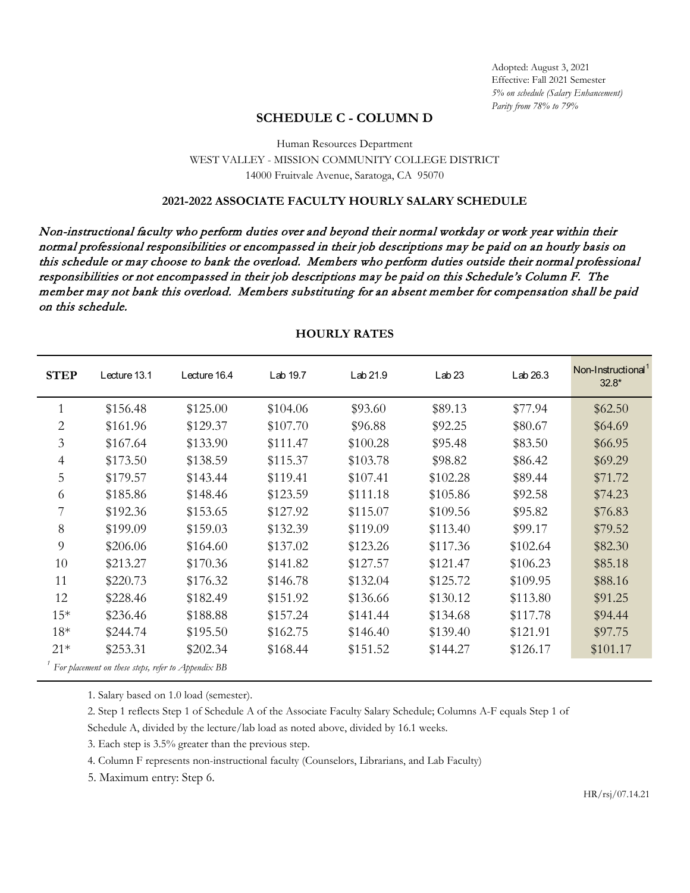# **SCHEDULE C - COLUMN D**

## Human Resources Department WEST VALLEY - MISSION COMMUNITY COLLEGE DISTRICT 14000 Fruitvale Avenue, Saratoga, CA 95070

### **2021-2022 ASSOCIATE FACULTY HOURLY SALARY SCHEDULE**

Non-instructional faculty who perform duties over and beyond their normal workday or work year within their normal professional responsibilities or encompassed in their job descriptions may be paid on an hourly basis on this schedule or may choose to bank the overload. Members who perform duties outside their normal professional responsibilities or not encompassed in their job descriptions may be paid on this Schedule's Column F. The member may not bank this overload. Members substituting for an absent member for compensation shall be paid on this schedule.

| <b>STEP</b>                                        | Lecture 13.1 | Lecture 16.4 | Lab 19.7 | Lab 21.9 | Lab <sub>23</sub> | Lab 26.3 | Non-Instructional<br>$32.8*$ |  |  |
|----------------------------------------------------|--------------|--------------|----------|----------|-------------------|----------|------------------------------|--|--|
|                                                    | \$156.48     | \$125.00     | \$104.06 | \$93.60  | \$89.13           | \$77.94  | \$62.50                      |  |  |
| $\overline{2}$                                     | \$161.96     | \$129.37     | \$107.70 | \$96.88  | \$92.25           | \$80.67  | \$64.69                      |  |  |
| $\mathfrak{Z}$                                     | \$167.64     | \$133.90     | \$111.47 | \$100.28 | \$95.48           | \$83.50  | \$66.95                      |  |  |
| $\overline{4}$                                     | \$173.50     | \$138.59     | \$115.37 | \$103.78 | \$98.82           | \$86.42  | \$69.29                      |  |  |
| 5                                                  | \$179.57     | \$143.44     | \$119.41 | \$107.41 | \$102.28          | \$89.44  | \$71.72                      |  |  |
| 6                                                  | \$185.86     | \$148.46     | \$123.59 | \$111.18 | \$105.86          | \$92.58  | \$74.23                      |  |  |
| 7                                                  | \$192.36     | \$153.65     | \$127.92 | \$115.07 | \$109.56          | \$95.82  | \$76.83                      |  |  |
| 8                                                  | \$199.09     | \$159.03     | \$132.39 | \$119.09 | \$113.40          | \$99.17  | \$79.52                      |  |  |
| 9                                                  | \$206.06     | \$164.60     | \$137.02 | \$123.26 | \$117.36          | \$102.64 | \$82.30                      |  |  |
| 10                                                 | \$213.27     | \$170.36     | \$141.82 | \$127.57 | \$121.47          | \$106.23 | \$85.18                      |  |  |
| 11                                                 | \$220.73     | \$176.32     | \$146.78 | \$132.04 | \$125.72          | \$109.95 | \$88.16                      |  |  |
| 12                                                 | \$228.46     | \$182.49     | \$151.92 | \$136.66 | \$130.12          | \$113.80 | \$91.25                      |  |  |
| $15*$                                              | \$236.46     | \$188.88     | \$157.24 | \$141.44 | \$134.68          | \$117.78 | \$94.44                      |  |  |
| $18*$                                              | \$244.74     | \$195.50     | \$162.75 | \$146.40 | \$139.40          | \$121.91 | \$97.75                      |  |  |
| $21*$                                              | \$253.31     | \$202.34     | \$168.44 | \$151.52 | \$144.27          | \$126.17 | \$101.17                     |  |  |
| For placement on these steps, refer to Appendix BB |              |              |          |          |                   |          |                              |  |  |

#### **HOURLY RATES**

1. Salary based on 1.0 load (semester).

2. Step 1 reflects Step 1 of Schedule A of the Associate Faculty Salary Schedule; Columns A-F equals Step 1 of

Schedule A, divided by the lecture/lab load as noted above, divided by 16.1 weeks.

3. Each step is 3.5% greater than the previous step.

4. Column F represents non-instructional faculty (Counselors, Librarians, and Lab Faculty)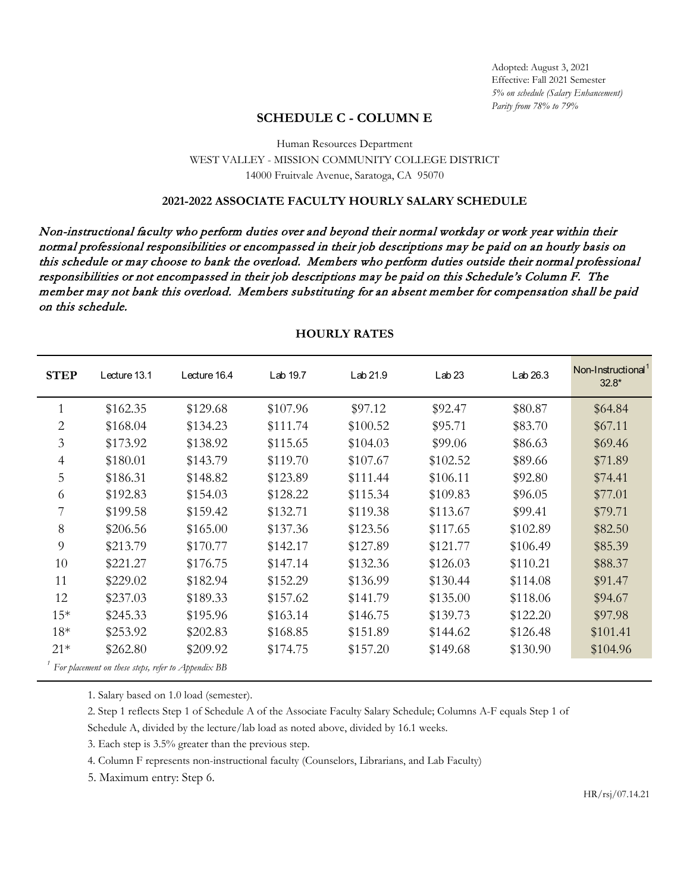# **SCHEDULE C - COLUMN E**

## Human Resources Department WEST VALLEY - MISSION COMMUNITY COLLEGE DISTRICT 14000 Fruitvale Avenue, Saratoga, CA 95070

### **2021-2022 ASSOCIATE FACULTY HOURLY SALARY SCHEDULE**

Non-instructional faculty who perform duties over and beyond their normal workday or work year within their normal professional responsibilities or encompassed in their job descriptions may be paid on an hourly basis on this schedule or may choose to bank the overload. Members who perform duties outside their normal professional responsibilities or not encompassed in their job descriptions may be paid on this Schedule's Column F. The member may not bank this overload. Members substituting for an absent member for compensation shall be paid on this schedule.

| <b>STEP</b>                                        | Lecture 13.1 | Lecture 16.4 | Lab 19.7 | Lab 21.9 | Lab <sub>23</sub> | Lab 26.3 | Non-Instructional <sup>1</sup><br>$32.8*$ |  |
|----------------------------------------------------|--------------|--------------|----------|----------|-------------------|----------|-------------------------------------------|--|
|                                                    | \$162.35     | \$129.68     | \$107.96 | \$97.12  | \$92.47           | \$80.87  | \$64.84                                   |  |
| $\overline{2}$                                     | \$168.04     | \$134.23     | \$111.74 | \$100.52 | \$95.71           | \$83.70  | \$67.11                                   |  |
| 3                                                  | \$173.92     | \$138.92     | \$115.65 | \$104.03 | \$99.06           | \$86.63  | \$69.46                                   |  |
| 4                                                  | \$180.01     | \$143.79     | \$119.70 | \$107.67 | \$102.52          | \$89.66  | \$71.89                                   |  |
| 5                                                  | \$186.31     | \$148.82     | \$123.89 | \$111.44 | \$106.11          | \$92.80  | \$74.41                                   |  |
| 6                                                  | \$192.83     | \$154.03     | \$128.22 | \$115.34 | \$109.83          | \$96.05  | \$77.01                                   |  |
|                                                    | \$199.58     | \$159.42     | \$132.71 | \$119.38 | \$113.67          | \$99.41  | \$79.71                                   |  |
| 8                                                  | \$206.56     | \$165.00     | \$137.36 | \$123.56 | \$117.65          | \$102.89 | \$82.50                                   |  |
| 9                                                  | \$213.79     | \$170.77     | \$142.17 | \$127.89 | \$121.77          | \$106.49 | \$85.39                                   |  |
| 10                                                 | \$221.27     | \$176.75     | \$147.14 | \$132.36 | \$126.03          | \$110.21 | \$88.37                                   |  |
| 11                                                 | \$229.02     | \$182.94     | \$152.29 | \$136.99 | \$130.44          | \$114.08 | \$91.47                                   |  |
| 12                                                 | \$237.03     | \$189.33     | \$157.62 | \$141.79 | \$135.00          | \$118.06 | \$94.67                                   |  |
| $15*$                                              | \$245.33     | \$195.96     | \$163.14 | \$146.75 | \$139.73          | \$122.20 | \$97.98                                   |  |
| $18*$                                              | \$253.92     | \$202.83     | \$168.85 | \$151.89 | \$144.62          | \$126.48 | \$101.41                                  |  |
| $21*$                                              | \$262.80     | \$209.92     | \$174.75 | \$157.20 | \$149.68          | \$130.90 | \$104.96                                  |  |
| For placement on these steps, refer to Appendix BB |              |              |          |          |                   |          |                                           |  |

#### **HOURLY RATES**

1. Salary based on 1.0 load (semester).

2. Step 1 reflects Step 1 of Schedule A of the Associate Faculty Salary Schedule; Columns A-F equals Step 1 of

Schedule A, divided by the lecture/lab load as noted above, divided by 16.1 weeks.

3. Each step is 3.5% greater than the previous step.

4. Column F represents non-instructional faculty (Counselors, Librarians, and Lab Faculty)